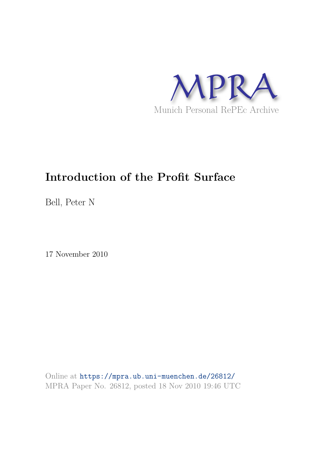

# **Introduction of the Profit Surface**

Bell, Peter N

17 November 2010

Online at https://mpra.ub.uni-muenchen.de/26812/ MPRA Paper No. 26812, posted 18 Nov 2010 19:46 UTC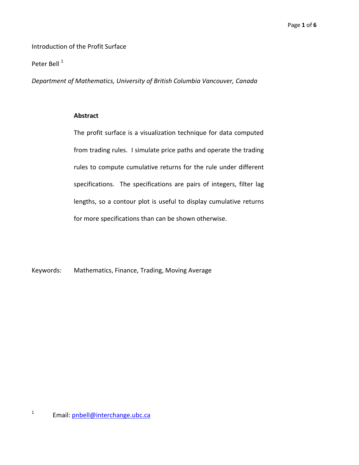Introduction of the Profit Surface

Peter Bell<sup>1</sup>

*Department of Mathematics, University of British Columbia Vancouver, Canada* 

### **Abstract**

The profit surface is a visualization technique for data computed from trading rules. I simulate price paths and operate the trading rules to compute cumulative returns for the rule under different specifications. The specifications are pairs of integers, filter lag lengths, so a contour plot is useful to display cumulative returns for more specifications than can be shown otherwise.

Keywords: Mathematics, Finance, Trading, Moving Average

<sup>1</sup> Email: pnbell@interchange.ubc.ca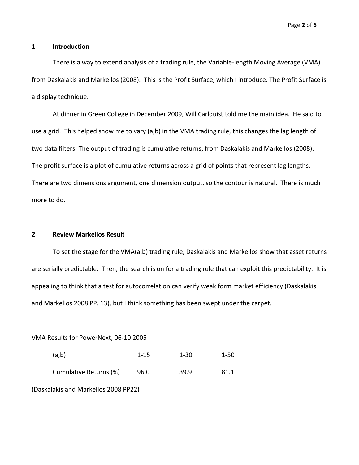#### **1 Introduction**

There is a way to extend analysis of a trading rule, the Variable-length Moving Average (VMA) from Daskalakis and Markellos (2008). This is the Profit Surface, which I introduce. The Profit Surface is a display technique.

At dinner in Green College in December 2009, Will Carlquist told me the main idea. He said to use a grid. This helped show me to vary (a,b) in the VMA trading rule, this changes the lag length of two data filters. The output of trading is cumulative returns, from Daskalakis and Markellos (2008). The profit surface is a plot of cumulative returns across a grid of points that represent lag lengths. There are two dimensions argument, one dimension output, so the contour is natural. There is much more to do.

### **2 Review Markellos Result**

To set the stage for the VMA(a,b) trading rule, Daskalakis and Markellos show that asset returns are serially predictable. Then, the search is on for a trading rule that can exploit this predictability. It is appealing to think that a test for autocorrelation can verify weak form market efficiency (Daskalakis and Markellos 2008 PP. 13), but I think something has been swept under the carpet.

VMA Results for PowerNext, 06-10 2005

| (a,b)                  | $1 - 15$ | $1 - 30$ | $1-50$ |
|------------------------|----------|----------|--------|
| Cumulative Returns (%) | 96.0     | 39.9     | 81.1   |

(Daskalakis and Markellos 2008 PP22)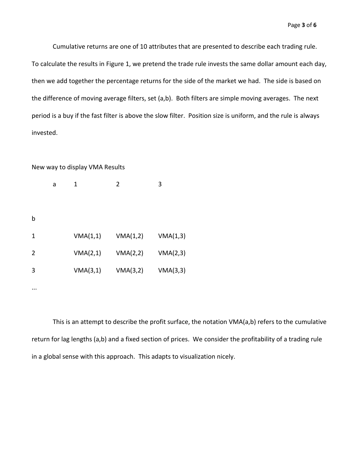Cumulative returns are one of 10 attributes that are presented to describe each trading rule. To calculate the results in Figure 1, we pretend the trade rule invests the same dollar amount each day, then we add together the percentage returns for the side of the market we had. The side is based on the difference of moving average filters, set (a,b). Both filters are simple moving averages. The next period is a buy if the fast filter is above the slow filter. Position size is uniform, and the rule is always invested.

#### New way to display VMA Results

|          | a | 1        | $\overline{2}$ | 3        |
|----------|---|----------|----------------|----------|
|          |   |          |                |          |
| b        |   |          |                |          |
| 1        |   | VMA(1,1) | VMA(1,2)       | VMA(1,3) |
| 2        |   | VMA(2,1) | VMA(2,2)       | VMA(2,3) |
| 3        |   | VMA(3,1) | VMA(3,2)       | VMA(3,3) |
| $\cdots$ |   |          |                |          |

This is an attempt to describe the profit surface, the notation VMA(a,b) refers to the cumulative return for lag lengths (a,b) and a fixed section of prices. We consider the profitability of a trading rule in a global sense with this approach. This adapts to visualization nicely.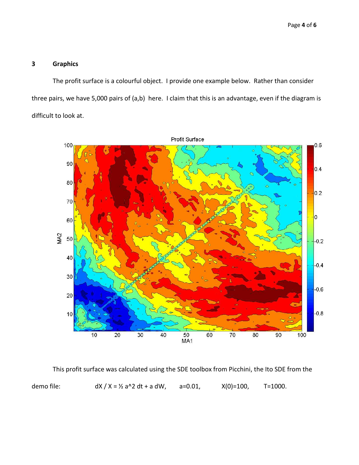# **3 Graphics**

The profit surface is a colourful object. I provide one example below. Rather than consider three pairs, we have 5,000 pairs of (a,b) here. I claim that this is an advantage, even if the diagram is difficult to look at.



This profit surface was calculated using the SDE toolbox from Picchini, the Ito SDE from the demo file:  $dX / X = 1/2$  a^2 dt + a dW, a=0.01,  $X(0)=100$ , T=1000.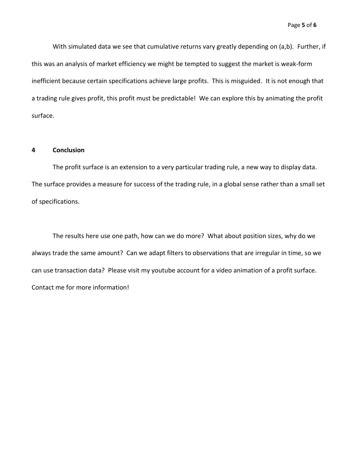With simulated data we see that cumulative returns vary greatly depending on (a,b). Further, if this was an analysis of market efficiency we might be tempted to suggest the market is weak-form inefficient because certain specifications achieve large profits. This is misguided. It is not enough that a trading rule gives profit, this profit must be predictable! We can explore this by animating the profit surface.

## **4 Conclusion**

The profit surface is an extension to a very particular trading rule, a new way to display data. The surface provides a measure for success of the trading rule, in a global sense rather than a small set of specifications.

The results here use one path, how can we do more? What about position sizes, why do we always trade the same amount? Can we adapt filters to observations that are irregular in time, so we can use transaction data? Please visit my youtube account for a video animation of a profit surface. Contact me for more information!